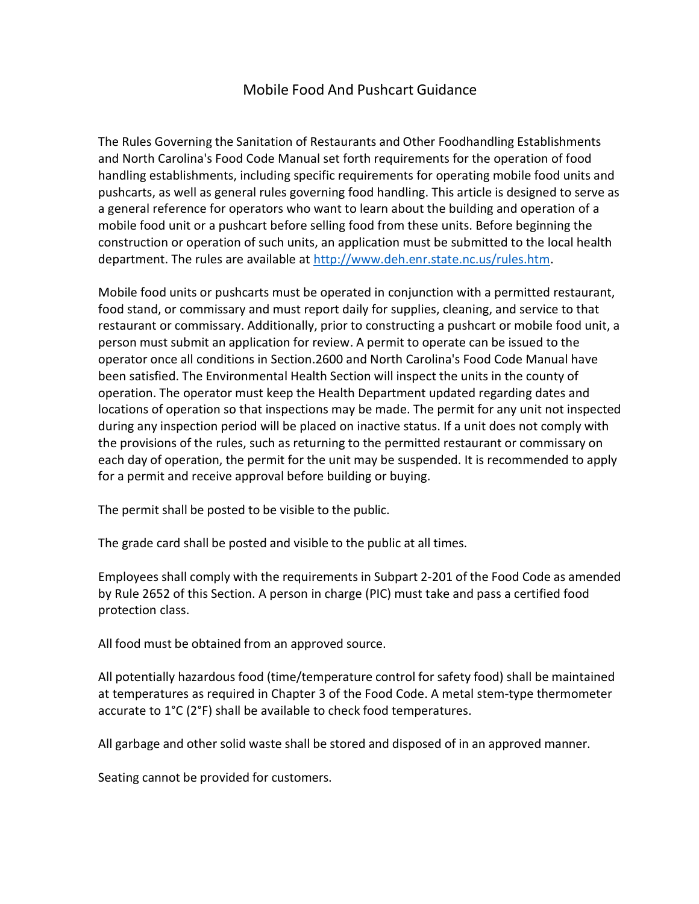# Mobile Food And Pushcart Guidance

The Rules Governing the Sanitation of Restaurants and Other Foodhandling Establishments and North Carolina's Food Code Manual set forth requirements for the operation of food handling establishments, including specific requirements for operating mobile food units and pushcarts, as well as general rules governing food handling. This article is designed to serve as a general reference for operators who want to learn about the building and operation of a mobile food unit or a pushcart before selling food from these units. Before beginning the construction or operation of such units, an application must be submitted to the local health department. The rules are available at http://www.deh.enr.state.nc.us/rules.htm.

Mobile food units or pushcarts must be operated in conjunction with a permitted restaurant, food stand, or commissary and must report daily for supplies, cleaning, and service to that restaurant or commissary. Additionally, prior to constructing a pushcart or mobile food unit, a person must submit an application for review. A permit to operate can be issued to the operator once all conditions in Section.2600 and North Carolina's Food Code Manual have been satisfied. The Environmental Health Section will inspect the units in the county of operation. The operator must keep the Health Department updated regarding dates and locations of operation so that inspections may be made. The permit for any unit not inspected during any inspection period will be placed on inactive status. If a unit does not comply with the provisions of the rules, such as returning to the permitted restaurant or commissary on each day of operation, the permit for the unit may be suspended. It is recommended to apply for a permit and receive approval before building or buying.

The permit shall be posted to be visible to the public.

The grade card shall be posted and visible to the public at all times.

Employees shall comply with the requirements in Subpart 2‐201 of the Food Code as amended by Rule 2652 of this Section. A person in charge (PIC) must take and pass a certified food protection class.

All food must be obtained from an approved source.

All potentially hazardous food (time/temperature control for safety food) shall be maintained at temperatures as required in Chapter 3 of the Food Code. A metal stem‐type thermometer accurate to 1°C (2°F) shall be available to check food temperatures.

All garbage and other solid waste shall be stored and disposed of in an approved manner.

Seating cannot be provided for customers.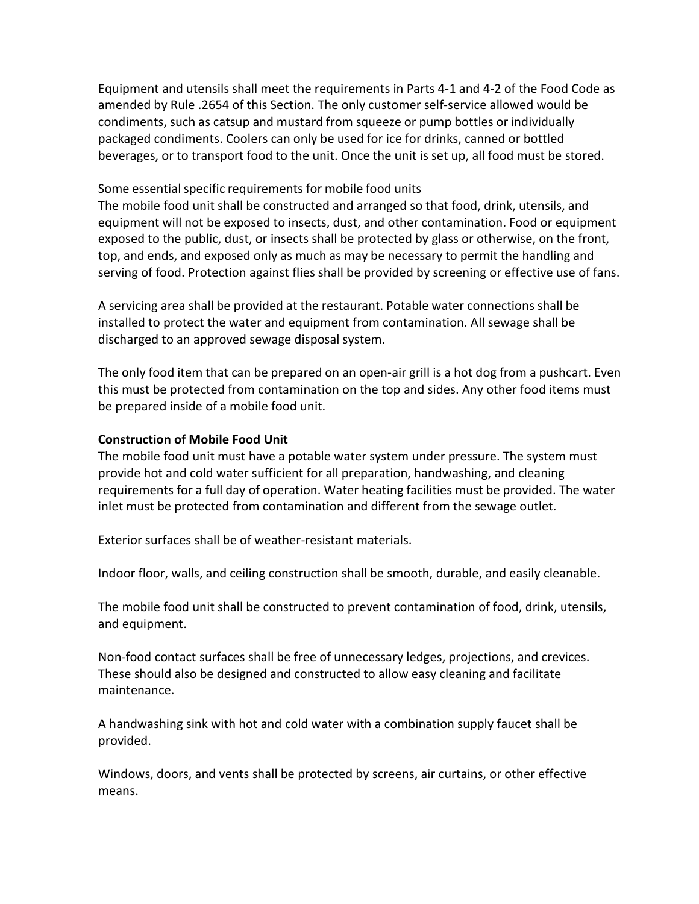Equipment and utensils shall meet the requirements in Parts 4‐1 and 4‐2 of the Food Code as amended by Rule .2654 of this Section. The only customer self‐service allowed would be condiments, such as catsup and mustard from squeeze or pump bottles or individually packaged condiments. Coolers can only be used for ice for drinks, canned or bottled beverages, or to transport food to the unit. Once the unit is set up, all food must be stored.

## Some essential specific requirements for mobile food units

The mobile food unit shall be constructed and arranged so that food, drink, utensils, and equipment will not be exposed to insects, dust, and other contamination. Food or equipment exposed to the public, dust, or insects shall be protected by glass or otherwise, on the front, top, and ends, and exposed only as much as may be necessary to permit the handling and serving of food. Protection against flies shall be provided by screening or effective use of fans.

A servicing area shall be provided at the restaurant. Potable water connections shall be installed to protect the water and equipment from contamination. All sewage shall be discharged to an approved sewage disposal system.

The only food item that can be prepared on an open‐air grill is a hot dog from a pushcart. Even this must be protected from contamination on the top and sides. Any other food items must be prepared inside of a mobile food unit.

## Construction of Mobile Food Unit

The mobile food unit must have a potable water system under pressure. The system must provide hot and cold water sufficient for all preparation, handwashing, and cleaning requirements for a full day of operation. Water heating facilities must be provided. The water inlet must be protected from contamination and different from the sewage outlet.

Exterior surfaces shall be of weather‐resistant materials.

Indoor floor, walls, and ceiling construction shall be smooth, durable, and easily cleanable.

The mobile food unit shall be constructed to prevent contamination of food, drink, utensils, and equipment.

Non-food contact surfaces shall be free of unnecessary ledges, projections, and crevices. These should also be designed and constructed to allow easy cleaning and facilitate maintenance.

A handwashing sink with hot and cold water with a combination supply faucet shall be provided.

Windows, doors, and vents shall be protected by screens, air curtains, or other effective means.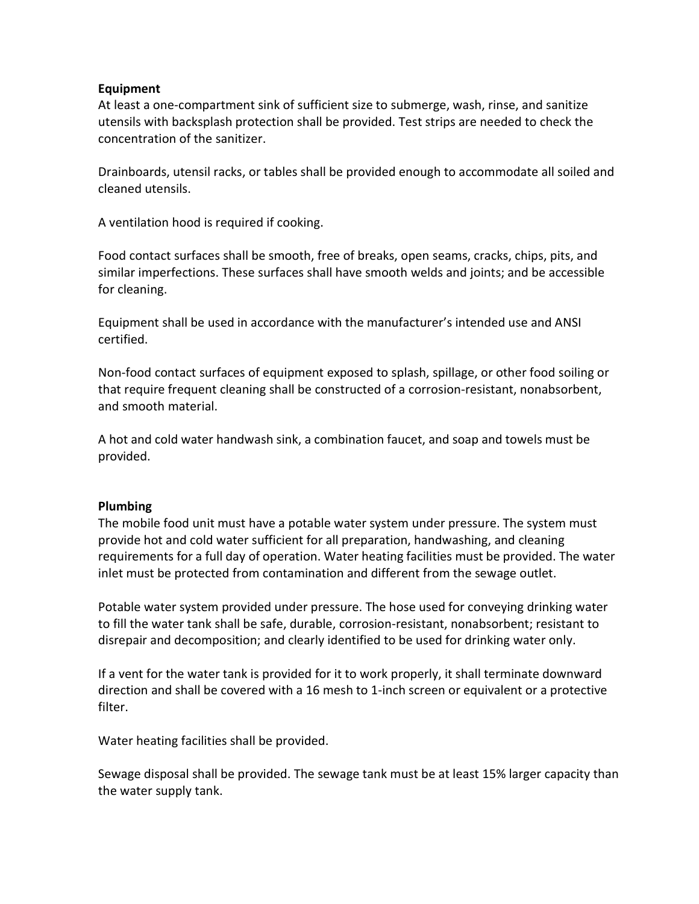#### Equipment

At least a one‐compartment sink of sufficient size to submerge, wash, rinse, and sanitize utensils with backsplash protection shall be provided. Test strips are needed to check the concentration of the sanitizer.

Drainboards, utensil racks, or tables shall be provided enough to accommodate all soiled and cleaned utensils.

A ventilation hood is required if cooking.

Food contact surfaces shall be smooth, free of breaks, open seams, cracks, chips, pits, and similar imperfections. These surfaces shall have smooth welds and joints; and be accessible for cleaning.

Equipment shall be used in accordance with the manufacturer's intended use and ANSI certified.

Non‐food contact surfaces of equipment exposed to splash, spillage, or other food soiling or that require frequent cleaning shall be constructed of a corrosion‐resistant, nonabsorbent, and smooth material.

A hot and cold water handwash sink, a combination faucet, and soap and towels must be provided.

#### Plumbing

The mobile food unit must have a potable water system under pressure. The system must provide hot and cold water sufficient for all preparation, handwashing, and cleaning requirements for a full day of operation. Water heating facilities must be provided. The water inlet must be protected from contamination and different from the sewage outlet.

Potable water system provided under pressure. The hose used for conveying drinking water to fill the water tank shall be safe, durable, corrosion‐resistant, nonabsorbent; resistant to disrepair and decomposition; and clearly identified to be used for drinking water only.

If a vent for the water tank is provided for it to work properly, it shall terminate downward direction and shall be covered with a 16 mesh to 1‐inch screen or equivalent or a protective filter.

Water heating facilities shall be provided.

Sewage disposal shall be provided. The sewage tank must be at least 15% larger capacity than the water supply tank.